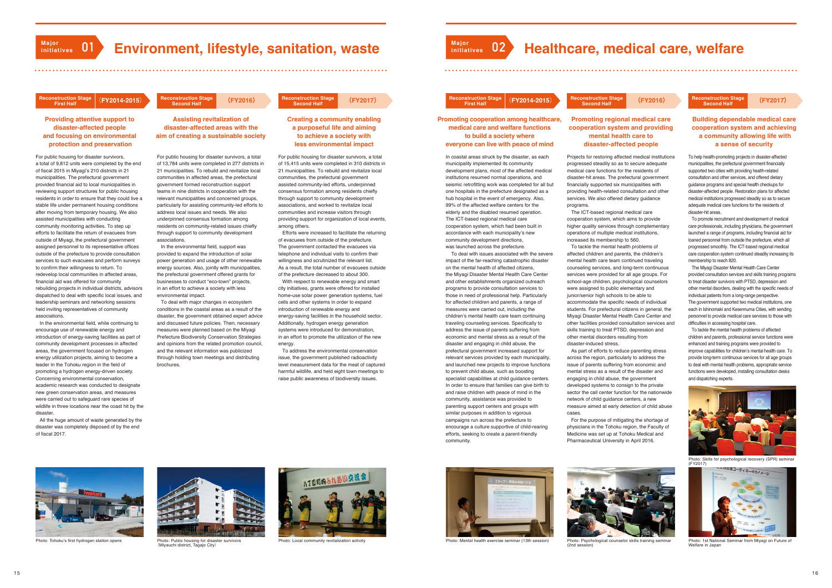

# **Environment, lifestyle, sanitation, waster and the Environment, lifestyle, sanitation, waster**

### **Providing attentive support to disaster-affected people and focusing on environmental protection and preservation**

For public housing for disaster survivors, a total of 15,415 units were completed in 310 districts in 21 municipalities. To rebuild and revitalize local communities, the prefectural government assisted community-led efforts, underpinned consensus formation among residents chiefly through support to community development associations, and worked to revitalize local communities and increase visitors through providing support for organization of local events, among others.

 Efforts were increased to facilitate the returning of evacuees from outside of the prefecture. The government contacted the evacuees via telephone and individual visits to confirm their willingness and scrutinized the relevant list. As a result, the total number of evacuees outside of the prefecture decreased to about 300. With respect to renewable energy and smart city initiatives, grants were offered for installed home-use solar power generation systems, fuel

cells and other systems in order to expand introduction of renewable energy and energy-saving facilities in the household sector. Additionally, hydrogen energy generation systems were introduced for demonstration in an effort to promote the utilization of the new energy.

 To address the environmental conservation issue, the government published radioactivity level measurement data for the meat of captured harmful wildlife, and held eight town meetings to raise public awareness of biodiversity issues.

**Creating a community enabling a purposeful life and aiming to achieve a society with**

**less environmental impact**

### **Assisting revitalization of disaster-affected areas with the aim of creating a sustainable society**

For public housing for disaster survivors, a total of 13,784 units were completed in 277 districts in 21 municipalities. To rebuild and revitalize local communities in affected areas, the prefectural government formed reconstruction support teams in nine districts in cooperation with the relevant municipalities and concerned groups, particularly for assisting community-led efforts to address local issues and needs. We also underpinned consensus formation among residents on community-related issues chiefly through support to community development associations.

 In the environmental field, while continuing to encourage use of renewable energy and introduction of energy-saving facilities as part of community development processes in affected areas, the government focused on hydrogen energy utilization projects, aiming to become a leader in the Tohoku region in the field of promoting a hydrogen energy-driven society. Concerning environmental conservation, academic research was conducted to designate new green conservation areas, and measures were carried out to safeguard rare species of wildlife in three locations near the coast hit by the disaster

### **Refauction Stage**<br>First Half **First Half (FY2017) Reconstruction Stage ( Second Half FY2016) Reconstruction Stage** ( **Second Half FY2014-2015**)

 In the environmental field, support was provided to expand the introduction of solar power generation and usage of other renewable energy sources. Also, jointly with municipalities, the prefectural government offered grants for businesses to conduct "eco-town" projects, in an effort to achieve a society with less environmental impact.

In coastal areas struck by the disaster, as each municipality implemented its community development plans, most of the affected medical institutions resumed normal operations, and seismic retrofitting work was completed for all but one hospitals in the prefecture designated as a hub hospital in the event of emergency. Also, 99% of the affected welfare centers for the elderly and the disabled resumed operation. The ICT-based regional medical care cooperation system, which had been built in accordance with each municipality's new community development directions, was launched across the prefecture.

 To deal with major changes in ecosystem conditions in the coastal areas as a result of the disaster, the government obtained expert advice and discussed future policies. Then, necessary measures were planned based on the Miyagi Prefecture Biodiversity Conservation Strategies and opinions from the related promotion council, and the relevant information was publicized through holding town meetings and distributing brochures.

For public housing for disaster survivors, a total of 9,812 units were completed by the end of fiscal 2015 in Miyagi's 210 districts in 21 municipalities. The prefectural government provided financial aid to local municipalities in reviewing support structures for public housing residents in order to ensure that they could live a stable life under permanent housing conditions after moving from temporary housing. We also assisted municipalities with conducting community monitoring activities. To step up efforts to facilitate the return of evacuees from outside of Miyagi, the prefectural government assigned personnel to its representative offices outside of the prefecture to provide consultation services to such evacuees and perform surveys to confirm their willingness to return. To redevelop local communities in affected areas, financial aid was offered for community rebuilding projects in individual districts, advisors dispatched to deal with specific local issues, and leadership seminars and networking sessions held inviting representatives of community associations.

 All the huge amount of waste generated by the disaster was completely disposed of by the end of fiscal 2017.



Photo: Tohoku's first hydrogen station opens Photo: Public housing for disaster survivors (Miyauchi district, Tagajo City)



Photo: Local community revitalization activity

# **02 Healthcare, medical care, welfare**

### **Referenction Stage**<br>First Half **First Half (FY2017) Reconstruction Stage ( Second Half FY2016) Reconstruction Stage** ( **Second Half FY2014-2015**)

 To deal with issues associated with the severe impact of the far-reaching catastrophic disaster on the mental health of affected citizens, the Miyagi Disaster Mental Health Care Center and other establishments organized outreach programs to provide consultation services to those in need of professional help. Particularly for affected children and parents, a range of measures were carried out, including the children's mental health care team continuing traveling counseling services. Specifically to address the issue of parents suffering from economic and mental stress as a result of the disaster and engaging in child abuse, the prefectural government increased support for relevant services provided by each municipality, and launched new projects to improve functions to prevent child abuse, such as boosting specialist capabilities at child guidance centers. In order to ensure that families can give birth to and raise children with peace of mind in the community, assistance was provided to parenting support centers and groups with similar purposes in addition to vigorous campaigns run across the prefecture to encourage a culture supportive of child-rearing efforts, seeking to create a parent-friendly community.

### **Promoting cooperation among healthcare, medical care and welfare functions to build a society where everyone can live with peace of mind**

Projects for restoring affected medical institutions progressed steadily so as to secure adequate medical care functions for the residents of disaster-hit areas. The prefectural government financially supported six municipalities with providing health-related consultation and other services. We also offered dietary quidance programs.

 The ICT-based regional medical care cooperation system, which aims to provide higher quality services through complementary operations of multiple medical institutions, increased its membership to 560.

 To tackle the mental health problems of affected children and parents, the children's mental health care team continued traveling counseling services, and long-term continuous services were provided for all age groups. For school-age children, psychological counselors were assigned to public elementary and junior/senior high schools to be able to accommodate the specific needs of individual students. For prefectural citizens in general, the Miyagi Disaster Mental Health Care Center and other facilities provided consultation services and skills training to treat PTSD, depression and other mental disorders resulting from disaster-induced stress.

 As part of efforts to reduce parenting stress across the region, particularly to address the issue of parents suffering from economic and mental stress as a result of the disaster and engaging in child abuse, the government developed systems to consign to the private sector the call center function for the nationwide network of child guidance centers, a new measure aimed at early detection of child abuse cases.

For the purpose of mitigating the shortage of

physicians in the Tohoku region, the Faculty of Medicine was set up at Tohoku Medical and Pharmaceutical University in April 2016.



To help health-promoting projects in disaster-affected municipalities, the prefectural government financially supported two cities with providing health-related consultation and other services, and offered dietary guidance programs and special health checkups for disaster-affected people. Restoration plans for affected medical institutions progressed steadily so as to secure adequate medical care functions for the residents of disaster-hit areas.

 To promote recruitment and development of medical care professionals, including physicians, the government launched a range of programs, including financial aid for loaned personnel from outside the prefecture, which all progressed smoothly. The ICT-based regional medical care cooperation system continued steadily increasing its membership to reach 820.

 The Miyagi Disaster Mental Health Care Center provided consultation services and skills training programs to treat disaster survivors with PTSD, depression and other mental disorders, dealing with the specific needs of individual patients from a long-range perspective. The government supported two medical institutions, one each in Ishinomaki and Kesennuma Cities, with sending personnel to provide medical care services to those with difficulties in accessing hospital care.

 To tackle the mental health problems of affected children and parents, professional service functions were enhanced and training programs were provided to improve capabilities for children's mental health care. To provide long-term continuous services for all age groups to deal with mental health problems, appropriate service functions were developed, installing consultation desks and dispatching experts.

**Major**



### **Building dependable medical care cooperation system and achieving a community allowing life with a sense of security**



Photo: Mental health exercise seminar (13th session) Photo: Psychological counselor skills training seminar



(2nd session)



Photo: 1st National Seminar from Miyagi on Future of Welfare in Japan



Photo: Skills for psychological recovery (SPR) seminar (FY2017)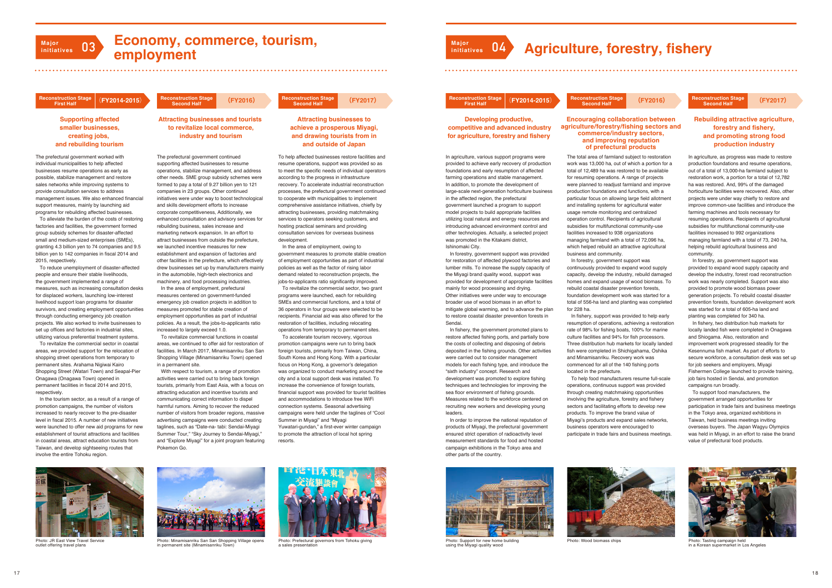# **Economy, commerce, tourism, employment**

## **struction Stage**<br>First Half

## **Major initiatives 03**

### **Supporting affected smaller businesses, creating jobs, and rebuilding tourism**

To help affected businesses restore facilities and resume operations, support was provided so as to meet the specific needs of individual operators according to the progress in infrastructure recovery. To accelerate industrial reconstruction processes, the prefectural government continued to cooperate with municipalities to implement comprehensive assistance initiatives, chiefly by attracting businesses, providing matchmaking services to operators seeking customers, and hosting practical seminars and providing consultation services for overseas business development.

 In the area of employment, owing to government measures to promote stable creation of employment opportunities as part of industrial policies as well as the factor of rising labor demand related to reconstruction projects, the jobs-to-applicants ratio significantly improved.

The prefectural government continued supporting affected businesses to resume operations, stabilize management, and address other needs. SME group subsidy schemes were formed to pay a total of 9.27 billion yen to 121 companies in 23 groups. Other continued initiatives were under way to boost technological and skills development efforts to increase corporate competitiveness, Additionally, we enhanced consultation and advisory services for rebuilding business, sales increase and marketing network expansion. In an effort to attract businesses from outside the prefecture, we launched incentive measures for new establishment and expansion of factories and other facilities in the prefecture, which effectively drew businesses set up by manufacturers mainly in the automobile, high-tech electronics and machinery, and food processing industries.

> To revitalize the commercial sector, two grant programs were launched, each for rebuilding SMEs and commercial functions, and a total of 36 operators in four groups were selected to be recipients. Financial aid was also offered for the restoration of facilities, including relocating operations from temporary to permanent sites.

 To accelerate tourism recovery, vigorous promotion campaigns were run to bring back foreign tourists, primarily from Taiwan, China, South Korea and Hong Kong. With a particular focus on Hong Kong, a governor's delegation was organized to conduct marketing around the city and a local support desk was installed. To increase the convenience of foreign tourists, financial support was provided for tourist facilities and accommodations to introduce free WiFi connection systems. Seasonal advertising campaigns were held under the taglines of "Cool Summer in Miyagi" and "Miyagi Yuwatari-gundan," a first-ever winter campaign to promote the attraction of local hot spring resorts.

In the area of employment, prefectural measures centered on government-funded emergency job creation projects in addition to measures promoted for stable creation of employment opportunities as part of industrial policies. As a result, the jobs-to-applicants ratio increased to largely exceed 1.0.

### **Attracting businesses to achieve a prosperous Miyagi, and drawing tourists from in and outside of Japan**

### **Attracting businesses and tourists to revitalize local commerce, industry and tourism**



Photo: Prefectural governors from Tohoku giving a sales presentation

 To revitalize commercial functions in coastal areas, we continued to offer aid for restoration of facilities. In March 2017, Minamisanriku San San Shopping Village (Minamisanriku Town) opened in a permanent site.

 With respect to tourism, a range of promotion activities were carried out to bring back foreign tourists, primarily from East Asia, with a focus on attracting education and incentive tourists and communicating correct information to dispel harmful rumors. Aiming to recover the reduced number of visitors from broader regions, massive advertising campaigns were conducted creating taglines, such as "Date-na- tabi: Sendai-Miyagi Summer Tour," "Sky Journey to Sendai-Miyagi," and "Explore Miyagi" for a joint program featuring Pokemon Go.

The prefectural government worked with individual municipalities to help affected businesses resume operations as early as possible, stabilize management and restore sales networks while improving systems to provide consultation services to address management issues. We also enhanced financial support measures, mainly by launching aid programs for rebuilding affected businesses.

 To alleviate the burden of the costs of restoring factories and facilities, the government formed group subsidy schemes for disaster-affected small and medium-sized enterprises (SMEs). granting 4.3 billion yen to 74 companies and 9.5 billion yen to 142 companies in fiscal 2014 and 2015, respectively.

 To reduce unemployment of disaster-affected people and ensure their stable livelihoods, the government implemented a range of measures, such as increasing consultation desks for displaced workers, launching low-interest livelihood support loan programs for disaster survivors, and creating employment opportunities through conducting emergency job creation projects. We also worked to invite businesses to set up offices and factories in industrial sites, utilizing various preferential treatment systems.

 To revitalize the commercial sector in coastal areas, we provided support for the relocation of shopping street operations from temporary to permanent sites. Arahama Nigiwai Kairo Shopping Street (Watari Town) and Seapal-Pier Onagawa (Onagawa Town) opened in permanent facilities in fiscal 2014 and 2015, respectively.

 In the tourism sector, as a result of a range of promotion campaigns, the number of visitors increased to nearly recover to the pre-disaster level in fiscal 2015. A number of new initiatives were launched to offer new aid programs for new establishment of tourist attractions and facilities in coastal areas, attract education tourists from Taiwan, and develop sightseeing routes that involve the entire Tohoku region.

### **struction Stage<br>First Half First Half (FY2017) Reconstruction Stage ( Second Half FY2016) Reconstruction Stage** ( **Second Half FY2014-2015**)

## **First Half (FY2017) Reconstruction Stage ( Second Half FY2016) Reconstruction Stage** ( **Second Half FY2014-2015**)



Photo: JR East View Travel Service outlet offering travel plans



Photo: Minamisanriku San San Shopping Village opens in permanent site (Minamisanriku Town)

In agriculture, various support programs were provided to achieve early recovery of production foundations and early resumption of affected farming operations and stable management. In addition, to promote the development of large-scale next-generation horticulture business in the affected region, the prefectural government launched a program to support model projects to build appropriate facilities utilizing local natural and energy resources and introducing advanced environment control and other technologies. Actually, a selected project was promoted in the Kitakami district. Ishinomaki City.

 In forestry, government support was provided for restoration of affected plywood factories and lumber mills. To increase the supply capacity of the Miyagi brand quality wood, support was provided for development of appropriate facilities mainly for wood processing and drying. Other initiatives were under way to encourage broader use of wood biomass in an effort to mitigate global warming, and to advance the plan to restore coastal disaster prevention forests in Sendai.

 In fishery, the government promoted plans to restore affected fishing ports, and partially bore the costs of collecting and disposing of debris deposited in the fishing grounds. Other activities were carried out to consider management models for each fishing type, and introduce the "sixth industry" concept. Research and development was promoted to explore fishing techniques and technologies for improving the sea floor environment of fishing grounds. Measures related to the workforce centered on recruiting new workers and developing young leaders.

 In order to improve the national reputation of products of Miyagi, the prefectural government ensured strict operation of radioactivity level measurement standards for food and hosted campaign exhibitions in the Tokyo area and other parts of the country.

### **Developing productive, competitive and advanced industry for agriculture, forestry and fishery**

The total area of farmland subject to restoration work was 13,000 ha, out of which a portion for a total of 12,489 ha was restored to be available for resuming operations. A range of projects





 In forestry, government support was continuously provided to expand wood supply capacity, develop the industry, rebuild damaged homes and expand usage of wood biomass. To rebuild coastal disaster prevention forests, foundation development work was started for a total of 556-ha land and planting was completed for 228 ha.

 In fishery, support was provided to help early resumption of operations, achieving a restoration rate of 98% for fishing boats, 100% for marine culture facilities and 94% for fish processors. Three distribution hub markets for locally landed fish were completed in Shichigahama, Oshika and Minamisanriku. Recovery work was commenced for all of the 140 fishing ports located in the prefecture.

 To help food manufacturers resume full-scale operations, continuous support was provided through creating matchmaking opportunities involving the agriculture, forestry and fishery sectors and facilitating efforts to develop new products. To improve the brand value of Miyagi's products and expand sales networks, business operators were encouraged to participate in trade fairs and business meetings.

In agriculture, as progress was made to restore production foundations and resume operations, out of a total of 13,000-ha farmland subject to restoration work, a portion for a total of 12,782 ha was restored. And, 99% of the damaged horticulture facilities were recovered. Also, other projects were under way chiefly to restore and improve common-use facilities and introduce the farming machines and tools necessary for resuming operations. Recipients of agricultural subsidies for multifunctional community-use facilities increased to 992 organizations managing farmland with a total of 73, 240 ha, helping rebuild agricultural business and community.

 In forestry, as government support was provided to expand wood supply capacity and develop the industry, forest road reconstruction work was nearly completed. Support was also provided to promote wood biomass power generation projects. To rebuild coastal disaster prevention forests, foundation development work was started for a total of 605-ha land and planting was completed for 340 ha.

 In fishery, two distribution hub markets for locally landed fish were completed in Onagawa and Shiogama. Also, restoration and improvement work progressed steadily for the Kesennuma fish market. As part of efforts to secure workforce, a consultation desk was set up for job seekers and employers, Miyagi Fishermen College launched to provide training, job fairs hosted in Sendai, and promotion campaigns run broadly.

 To support food manufacturers, the government arranged opportunities for participation in trade fairs and business meetings in the Tokyo area, organized exhibitions in Taiwan, held business meetings inviting overseas buyers. The Japan Wagyu Olympics was held in Miyagi, in an effort to raise the brand value of prefectural food products.

# **Agriculture, forestry, fishery**

### **Encouraging collaboration between agriculture/forestry/fishing sectors and commerce/industry sectors, and improving reputation of prefectural products**

### **Rebuilding attractive agriculture, forestry and fishery, and promoting strong food production industry**



Photo: Support for new home building using the Miyagi quality wood



Photo: Wood biomass chips Photo: Tasting campaign held in a Korean supermarket in Los Angeles

**Major**

**initiatives 04**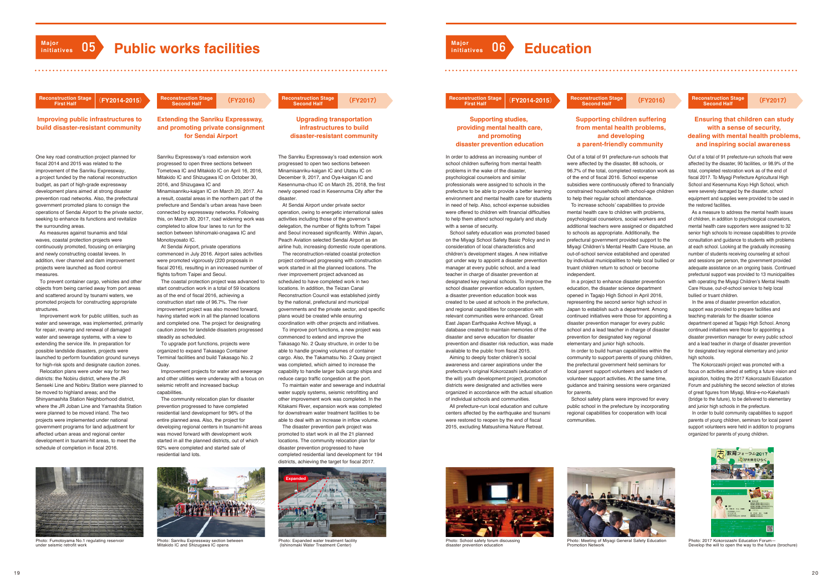# **Major**<br>*Public works facilities*

## **Referenction Stage**<br>First Half

**Improving public infrastructures to build disaster-resistant community** 

## **infrastructures to build disaster-resistant community**







Photo: Expanded water treatment facility (Ishinomaki Water Treatment Center)

# **struction Stage<br>First Half**

Photo: Fumotoyama No.1 regulating reservoir

under seismic retrofit work



Photo: Sanriku Expressway section between Mitakido IC and Shizugawa IC opens

Sanriku Expressway's road extension work progressed to open three sections between Tometowa IC and Mitakido IC on April 16, 2016, Mitakido IC and Shizugawa IC on October 30, 2016, and Shizugawa IC and

Minamisanriku-kaigan IC on March 20, 2017. As a result, coastal areas in the northern part of the prefecture and Sendai's urban areas have been connected by expressway networks. Following this, on March 30, 2017, road widening work was completed to allow four lanes to run for the section between Ishinomaki-onagawa IC and Monotoyosato IC.

One key road construction project planned for fiscal 2014 and 2015 was related to the improvement of the Sanriku Expressway, a project funded by the national reconstruction budget, as part of high-grade expressway development plans aimed at strong disaster prevention road networks. Also, the prefectural government promoted plans to consign the operations of Sendai Airport to the private sector, seeking to enhance its functions and revitalize the surrounding areas.

> At Sendai Airport, private operations commenced in July 2016. Airport sales activities were promoted vigorously (220 proposals in fiscal 2016), resulting in an increased number of flights to/from Taipei and Seoul.

> The coastal protection project was advanced to start construction work in a total of 59 locations as of the end of fiscal 2016, achieving a construction start rate of 96.7%. The river improvement project was also moved forward, having started work in all the planned locations and completed one. The project for designating caution zones for landslide disasters progressed steadily as scheduled.

 To upgrade port functions, projects were organized to expand Takasago Container Terminal facilities and build Takasago No. 2 Quay.

 Improvement projects for water and sewerage and other utilities were underway with a focus on seismic retrofit and increased backup capabilities.

 The community relocation plan for disaster prevention progressed to have completed residential land development for 96% of the entire planned area. Also, the project for developing regional centers in tsunami-hit areas was moved forward with development work started in all the planned districts, out of which 92% were completed and started sale of residential land lots.

 As measures against tsunamis and tidal waves, coastal protection projects were continuously promoted, focusing on enlarging and newly constructing coastal levees. In addition, river channel and dam improvement projects were launched as flood control measures.

 To prevent container cargo, vehicles and other objects from being carried away from port areas and scattered around by tsunami waters, we promoted projects for constructing appropriate structures.

 Improvement work for public utilities, such as water and sewerage, was implemented, primarily for repair, revamp and renewal of damaged water and sewerage systems, with a view to extending the service life. In preparation for possible landslide disasters, projects were launched to perform foundation ground surveys for high-risk spots and designate caution zones.

 Relocation plans were under way for two districts: the Nobiru district, where the JR Senseki Line and Nobiru Station were planned to be moved to highland areas; and the Shinyamashita Station Neighborhood district, where the JR Joban Line and Yamashita Station were planned to be moved inland. The two projects were implemented under national government programs for land adjustment for affected urban areas and regional center development in tsunami-hit areas, to meet the schedule of completion in fiscal 2016.

The Sanriku Expressway's road extension work progressed to open two sections between Minamisanriku-kaigan IC and Utatsu IC on December 9, 2017, and Oya-kaigan IC and Kesennuma-chuo IC on March 25, 2018, the first newly opened road in Kesennuma City after the disaster.

 At Sendai Airport under private sector operation, owing to energetic international sales activities including those of the governor's delegation, the number of flights to/from Taipei and Seoul increased significantly. Within Japan, Peach Aviation selected Sendai Airport as an airline hub, increasing domestic route operations.

 The reconstruction-related coastal protection project continued progressing with construction work started in all the planned locations. The river improvement project advanced as scheduled to have completed work in two locations. In addition, the Teizan Canal Reconstruction Council was established jointly by the national, prefectural and municipal governments and the private sector, and specific plans would be created while ensuring coordination with other projects and initiatives. To improve port functions, a new project was commenced to extend and improve the Takasago No. 2 Quay structure, in order to be able to handle growing volumes of container cargo. Also, the Takamatsu No. 2 Quay project was completed, which aimed to increase the capability to handle larger bulk cargo ships and reduce cargo traffic congestion at the port.

 To maintain water and sewerage and industrial water supply systems, seismic retrofitting and other improvement work was completed. In the Kitakami River, expansion work was completed for downstream water treatment facilities to be able to deal with an increase in inflow volume.



Photo: School safety forum discussing disaster prevention education

 The disaster prevention park project was promoted to start work in all the 21 planned locations. The community relocation plan for disaster prevention progressed to have completed residential land development for 194 districts, achieving the target for fiscal 2017.



In order to address an increasing number of school children suffering from mental health problems in the wake of the disaster, psychological counselors and similar professionals were assigned to schools in the prefecture to be able to provide a better learning environment and mental health care for students in need of help. Also, school expense subsidies were offered to children with financial difficulties to help them attend school regularly and study with a sense of security.

 School safety education was promoted based on the Miyagi School Safety Basic Policy and in consideration of local characteristics and children's development stages. A new initiative got under way to appoint a disaster prevention manager at every public school, and a lead teacher in charge of disaster prevention at designated key regional schools. To improve the school disaster prevention education system a disaster prevention education book was created to be used at schools in the prefecture, and regional capabilities for cooperation with relevant communities were enhanced. Great East Japan Earthquake Archive Miyagi, a database created to maintain memories of the disaster and serve education for disaste prevention and disaster risk reduction, was made available to the public from fiscal 2015.

 Aiming to deeply foster children's social awareness and career aspirations under the prefecture's original Kokorozashi (education of the will) youth development project, promotion districts were designated and activities were organized in accordance with the actual situation of individual schools and communities.

 All prefecture-run local education and culture centers affected by the earthquake and tsunami were restored to reopen by the end of fiscal 2015, excluding Matsushima Nature Retreat.

### **Supporting studies, providing mental health care, and promoting disaster prevention education**

Out of a total of 91 prefecture-run schools that were affected by the disaster, 88 schools, or 96.7% of the total, completed restoration work as of the end of fiscal 2016. School expense subsidies were continuously offered to financially constrained households with school-age children to help their regular school attendance.

 To increase schools' capabilities to provide mental health care to children with problems, psychological counselors, social workers and additional teachers were assigned or dispatched to schools as appropriate. Additionally, the prefectural government provided support to the Miyagi Children's Mental Health Care House, an out-of-school service established and operated by individual municipalities to help local bullied or truant children return to school or become independent.

 In a project to enhance disaster prevention education, the disaster science department opened in Tagajo High School in April 2016, representing the second senior high school in Japan to establish such a department. Among continued initiatives were those for appointing a disaster prevention manager for every public school and a lead teacher in charge of disaster prevention for designated key regional elementary and junior high schools.

 In order to build human capabilities within the community to support parents of young children, the prefectural government held seminars for local parent support volunteers and leaders of volunteer support activities. At the same time, guidance and training sessions were organized for parents.

 School safety plans were improved for every public school in the prefecture by incorporating regional capabilities for cooperation with local communities.

Out of a total of 91 prefecture-run schools that were affected by the disaster, 90 facilities, or 98.9% of the total, completed restoration work as of the end of fiscal 2017. To Miyagi Prefecture Agricultural High School and Kesennuma Koyo High School, which were severely damaged by the disaster, school equipment and supplies were provided to be used in the restored facilities.

 As a measure to address the mental health issues of children, in addition to psychological counselors, mental health care supporters were assigned to 32 senior high schools to increase capabilities to provide consultation and guidance to students with problems at each school. Looking at the gradually increasing number of students receiving counseling at school and sessions per person, the government provided adequate assistance on an ongoing basis. Continued prefectural support was provided to 13 municipalities with operating the Miyagi Children's Mental Health Care House, out-of-school service to help local bullied or truant children.

 In the area of disaster prevention education, support was provided to prepare facilities and teaching materials for the disaster science department opened at Tagajo High School. Among continued initiatives were those for appointing a disaster prevention manager for every public school and a lead teacher in charge of disaster prevention for designated key regional elementary and junior high schools.

 The Kokorozashi project was promoted with a focus on activities aimed at setting a future vision and aspiration, holding the 2017 Kokorozashi Education Forum and publishing the second selection of stories of great figures from Miyagi, Mirai-e-no-Kakehashi (bridge to the future), to be delivered to elementary and junior high schools in the prefecture.

 In order to build community capabilities to support parents of young children, seminars for local parent support volunteers were held in addition to programs organized for parents of young children.

**Major**

**initiatives 06 Education**







Photo: Meeting of Miyagi General Safety Education Promotion Network



Photo: 2017 Kokorozashi Education Forum― Develop the will to open the way to the future (brochure)

### **Ensuring that children can study with a sense of security, dealing with mental health problems, and inspiring social awareness**